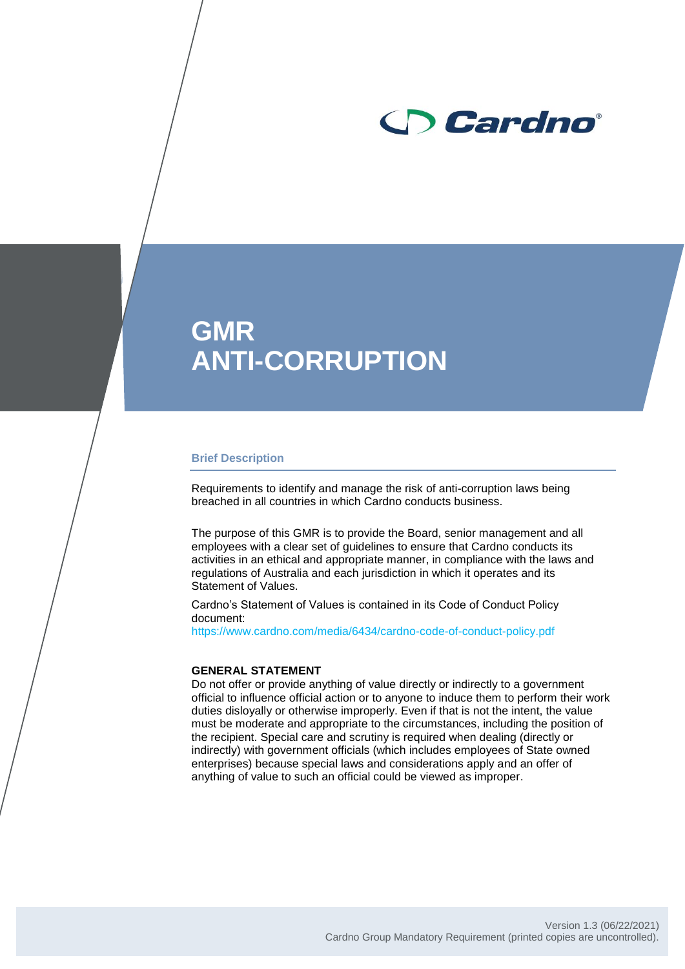

# **GMR ANTI-CORRUPTION**

#### **Brief Description**

Requirements to identify and manage the risk of anti-corruption laws being breached in all countries in which Cardno conducts business.

The purpose of this GMR is to provide the Board, senior management and all employees with a clear set of guidelines to ensure that Cardno conducts its activities in an ethical and appropriate manner, in compliance with the laws and regulations of Australia and each jurisdiction in which it operates and its Statement of Values.

Cardno's Statement of Values is contained in its Code of Conduct Policy document:

https://www.cardno.com/media/6434/cardno-code-of-conduct-policy.pdf

#### **GENERAL STATEMENT**

Do not offer or provide anything of value directly or indirectly to a government official to influence official action or to anyone to induce them to perform their work duties disloyally or otherwise improperly. Even if that is not the intent, the value must be moderate and appropriate to the circumstances, including the position of the recipient. Special care and scrutiny is required when dealing (directly or indirectly) with government officials (which includes employees of State owned enterprises) because special laws and considerations apply and an offer of anything of value to such an official could be viewed as improper.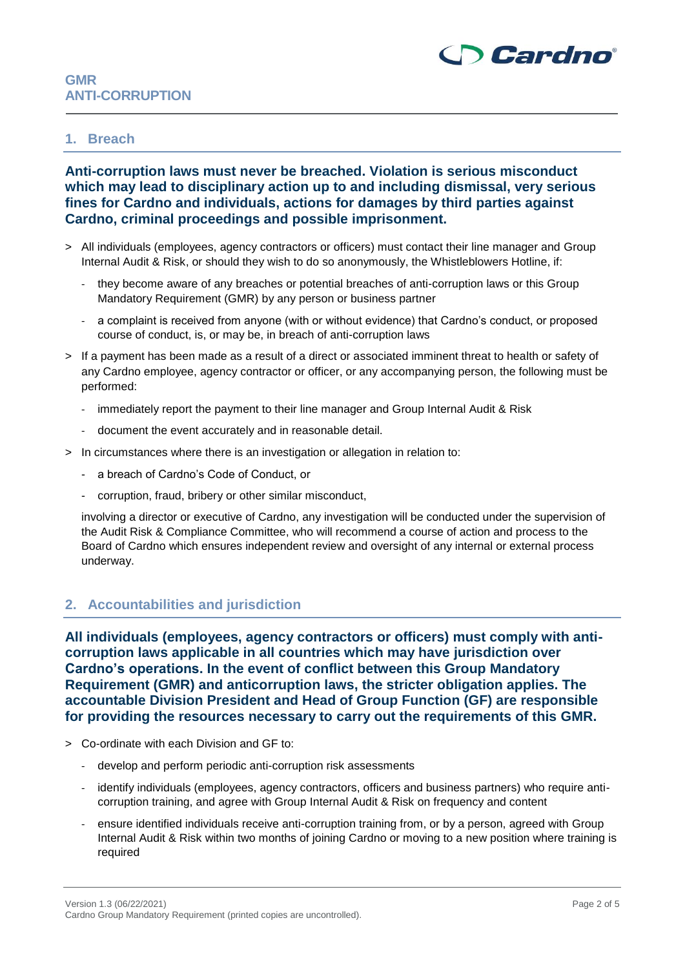

## **GMR ANTI-CORRUPTION**

#### **1. Breach**

**Anti-corruption laws must never be breached. Violation is serious misconduct which may lead to disciplinary action up to and including dismissal, very serious fines for Cardno and individuals, actions for damages by third parties against Cardno, criminal proceedings and possible imprisonment.**

- > All individuals (employees, agency contractors or officers) must contact their line manager and Group Internal Audit & Risk, or should they wish to do so anonymously, the Whistleblowers Hotline, if:
	- they become aware of any breaches or potential breaches of anti-corruption laws or this Group Mandatory Requirement (GMR) by any person or business partner
	- a complaint is received from anyone (with or without evidence) that Cardno's conduct, or proposed course of conduct, is, or may be, in breach of anti-corruption laws
- > If a payment has been made as a result of a direct or associated imminent threat to health or safety of any Cardno employee, agency contractor or officer, or any accompanying person, the following must be performed:
	- immediately report the payment to their line manager and Group Internal Audit & Risk
	- document the event accurately and in reasonable detail.
- > In circumstances where there is an investigation or allegation in relation to:
	- a breach of Cardno's Code of Conduct, or
	- corruption, fraud, bribery or other similar misconduct,

involving a director or executive of Cardno, any investigation will be conducted under the supervision of the Audit Risk & Compliance Committee, who will recommend a course of action and process to the Board of Cardno which ensures independent review and oversight of any internal or external process underway.

#### **2. Accountabilities and jurisdiction**

**All individuals (employees, agency contractors or officers) must comply with anticorruption laws applicable in all countries which may have jurisdiction over Cardno's operations. In the event of conflict between this Group Mandatory Requirement (GMR) and anticorruption laws, the stricter obligation applies. The accountable Division President and Head of Group Function (GF) are responsible for providing the resources necessary to carry out the requirements of this GMR.**

- > Co-ordinate with each Division and GF to:
	- develop and perform periodic anti-corruption risk assessments
	- identify individuals (employees, agency contractors, officers and business partners) who require anticorruption training, and agree with Group Internal Audit & Risk on frequency and content
	- ensure identified individuals receive anti-corruption training from, or by a person, agreed with Group Internal Audit & Risk within two months of joining Cardno or moving to a new position where training is required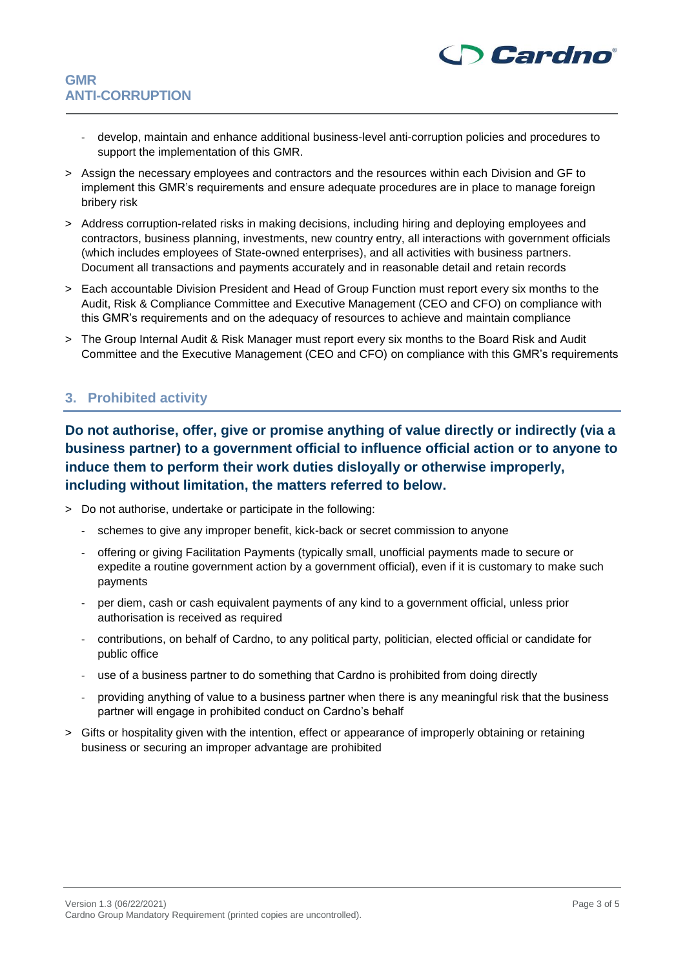

- develop, maintain and enhance additional business-level anti-corruption policies and procedures to support the implementation of this GMR.
- > Assign the necessary employees and contractors and the resources within each Division and GF to implement this GMR's requirements and ensure adequate procedures are in place to manage foreign bribery risk
- > Address corruption-related risks in making decisions, including hiring and deploying employees and contractors, business planning, investments, new country entry, all interactions with government officials (which includes employees of State-owned enterprises), and all activities with business partners. Document all transactions and payments accurately and in reasonable detail and retain records
- > Each accountable Division President and Head of Group Function must report every six months to the Audit, Risk & Compliance Committee and Executive Management (CEO and CFO) on compliance with this GMR's requirements and on the adequacy of resources to achieve and maintain compliance
- > The Group Internal Audit & Risk Manager must report every six months to the Board Risk and Audit Committee and the Executive Management (CEO and CFO) on compliance with this GMR's requirements

#### **3. Prohibited activity**

**Do not authorise, offer, give or promise anything of value directly or indirectly (via a business partner) to a government official to influence official action or to anyone to induce them to perform their work duties disloyally or otherwise improperly, including without limitation, the matters referred to below.**

- > Do not authorise, undertake or participate in the following:
	- schemes to give any improper benefit, kick-back or secret commission to anyone
	- offering or giving Facilitation Payments (typically small, unofficial payments made to secure or expedite a routine government action by a government official), even if it is customary to make such payments
	- per diem, cash or cash equivalent payments of any kind to a government official, unless prior authorisation is received as required
	- contributions, on behalf of Cardno, to any political party, politician, elected official or candidate for public office
	- use of a business partner to do something that Cardno is prohibited from doing directly
	- providing anything of value to a business partner when there is any meaningful risk that the business partner will engage in prohibited conduct on Cardno's behalf
- > Gifts or hospitality given with the intention, effect or appearance of improperly obtaining or retaining business or securing an improper advantage are prohibited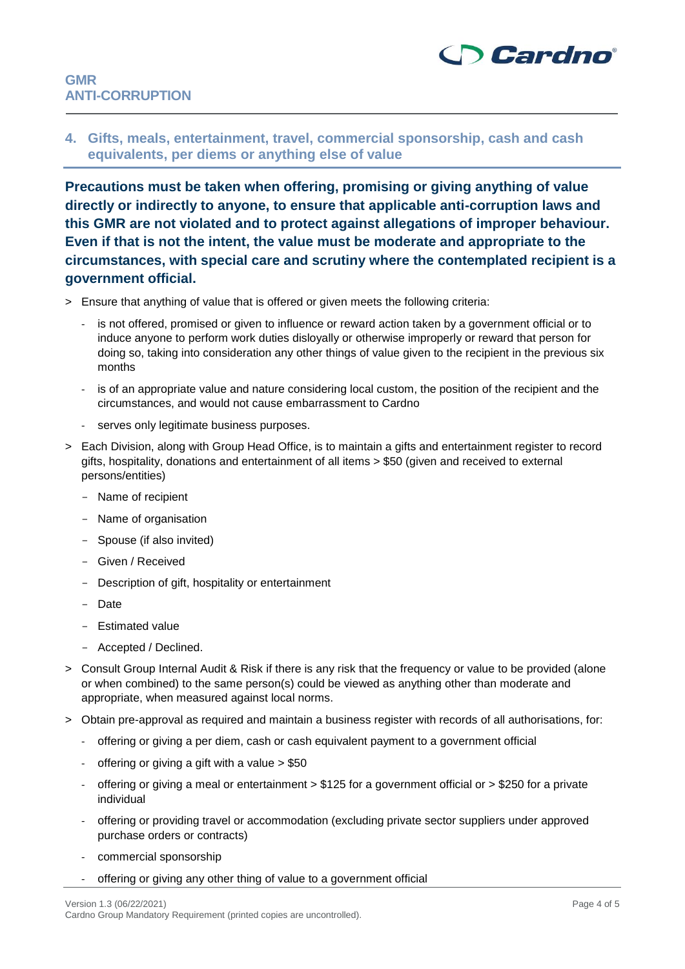

**4. Gifts, meals, entertainment, travel, commercial sponsorship, cash and cash equivalents, per diems or anything else of value**

**Precautions must be taken when offering, promising or giving anything of value directly or indirectly to anyone, to ensure that applicable anti-corruption laws and this GMR are not violated and to protect against allegations of improper behaviour. Even if that is not the intent, the value must be moderate and appropriate to the circumstances, with special care and scrutiny where the contemplated recipient is a government official.**

- > Ensure that anything of value that is offered or given meets the following criteria:
	- is not offered, promised or given to influence or reward action taken by a government official or to induce anyone to perform work duties disloyally or otherwise improperly or reward that person for doing so, taking into consideration any other things of value given to the recipient in the previous six months
	- is of an appropriate value and nature considering local custom, the position of the recipient and the circumstances, and would not cause embarrassment to Cardno
	- serves only legitimate business purposes.
- > Each Division, along with Group Head Office, is to maintain a gifts and entertainment register to record gifts, hospitality, donations and entertainment of all items > \$50 (given and received to external persons/entities)
	- Name of recipient
	- Name of organisation
	- Spouse (if also invited)
	- Given / Received
	- Description of gift, hospitality or entertainment
	- Date
	- Estimated value
	- Accepted / Declined.
- > Consult Group Internal Audit & Risk if there is any risk that the frequency or value to be provided (alone or when combined) to the same person(s) could be viewed as anything other than moderate and appropriate, when measured against local norms.
- > Obtain pre-approval as required and maintain a business register with records of all authorisations, for:
	- offering or giving a per diem, cash or cash equivalent payment to a government official
	- offering or giving a gift with a value  $> $50$
	- offering or giving a meal or entertainment > \$125 for a government official or > \$250 for a private individual
	- offering or providing travel or accommodation (excluding private sector suppliers under approved purchase orders or contracts)
	- commercial sponsorship
	- offering or giving any other thing of value to a government official